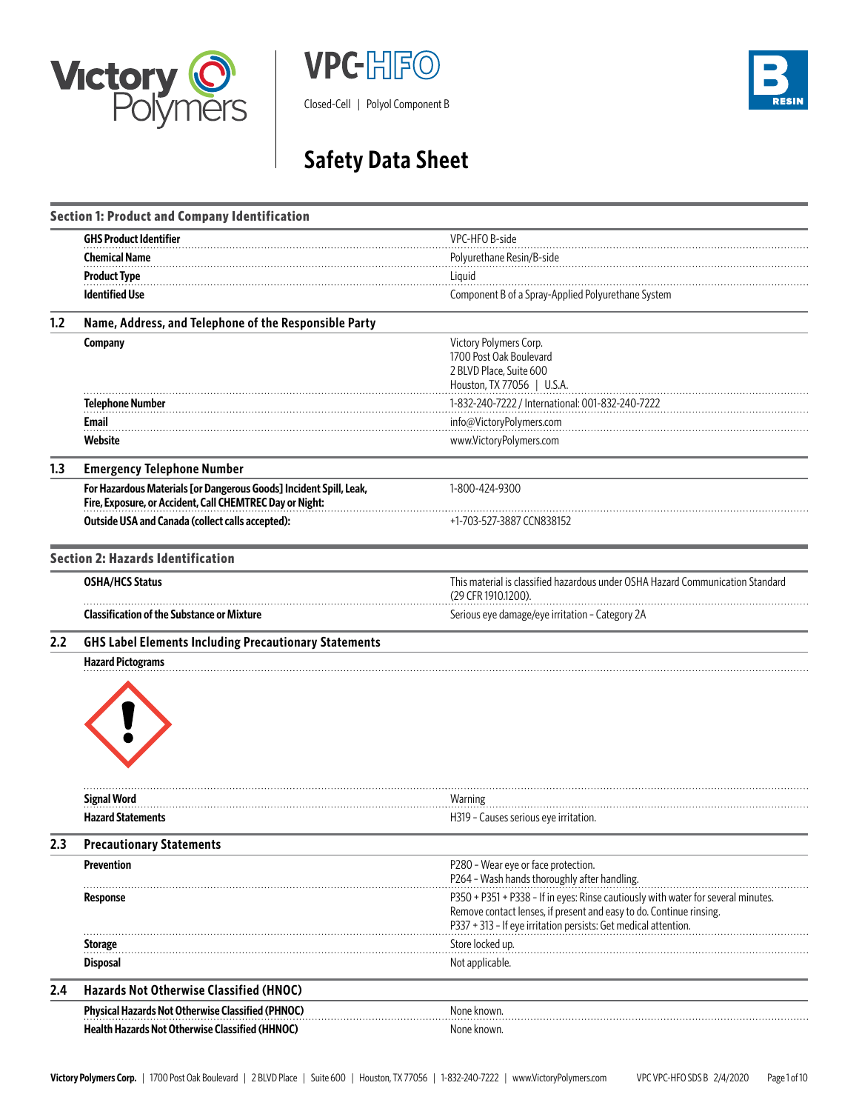







# **Safety Data Sheet**

|     | <b>Section 1: Product and Company Identification</b>                                                                           |                                                                                                                                                                                                                             |
|-----|--------------------------------------------------------------------------------------------------------------------------------|-----------------------------------------------------------------------------------------------------------------------------------------------------------------------------------------------------------------------------|
|     | <b>GHS Product Identifier</b>                                                                                                  | VPC-HFO B-side                                                                                                                                                                                                              |
|     | <b>Chemical Name</b>                                                                                                           | Polyurethane Resin/B-side                                                                                                                                                                                                   |
|     | <b>Product Type</b>                                                                                                            | Liquid                                                                                                                                                                                                                      |
|     | <b>Identified Use</b>                                                                                                          | Component B of a Spray-Applied Polyurethane System                                                                                                                                                                          |
| 1.2 | Name, Address, and Telephone of the Responsible Party                                                                          |                                                                                                                                                                                                                             |
|     | Company                                                                                                                        | Victory Polymers Corp.<br>1700 Post Oak Boulevard<br>2 BLVD Place, Suite 600<br>Houston, TX 77056   U.S.A.                                                                                                                  |
|     | <b>Telephone Number</b>                                                                                                        | 1-832-240-7222 / International: 001-832-240-7222                                                                                                                                                                            |
|     | <b>Email</b>                                                                                                                   | info@VictoryPolymers.com                                                                                                                                                                                                    |
|     | Website                                                                                                                        | www.VictoryPolymers.com                                                                                                                                                                                                     |
| 1.3 | <b>Emergency Telephone Number</b>                                                                                              |                                                                                                                                                                                                                             |
|     | For Hazardous Materials [or Dangerous Goods] Incident Spill, Leak,<br>Fire, Exposure, or Accident, Call CHEMTREC Day or Night: | 1-800-424-9300                                                                                                                                                                                                              |
|     | <b>Outside USA and Canada (collect calls accepted):</b>                                                                        | +1-703-527-3887 CCN838152                                                                                                                                                                                                   |
|     | <b>Section 2: Hazards Identification</b>                                                                                       |                                                                                                                                                                                                                             |
|     | <b>OSHA/HCS Status</b>                                                                                                         | This material is classified hazardous under OSHA Hazard Communication Standard<br>(29 CFR 1910.1200).                                                                                                                       |
|     | <b>Classification of the Substance or Mixture</b>                                                                              | Serious eye damage/eye irritation - Category 2A                                                                                                                                                                             |
| 2.2 | <b>GHS Label Elements Including Precautionary Statements</b>                                                                   |                                                                                                                                                                                                                             |
|     | <b>Hazard Pictograms</b>                                                                                                       |                                                                                                                                                                                                                             |
|     | <b>Signal Word</b>                                                                                                             | Warning                                                                                                                                                                                                                     |
|     | <b>Hazard Statements</b>                                                                                                       | H319 - Causes serious eye irritation.                                                                                                                                                                                       |
| 2.3 | <b>Precautionary Statements</b>                                                                                                |                                                                                                                                                                                                                             |
|     | <b>Prevention</b>                                                                                                              | P280 - Wear eye or face protection.<br>P264 - Wash hands thoroughly after handling.                                                                                                                                         |
|     | Response                                                                                                                       | P350 + P351 + P338 - If in eyes: Rinse cautiously with water for several minutes.<br>Remove contact lenses, if present and easy to do. Continue rinsing.<br>P337 + 313 - If eye irritation persists: Get medical attention. |
|     | <b>Storage</b>                                                                                                                 | Store locked up.                                                                                                                                                                                                            |
|     | <b>Disposal</b>                                                                                                                | Not applicable.                                                                                                                                                                                                             |
| 2.4 | Hazards Not Otherwise Classified (HNOC)                                                                                        |                                                                                                                                                                                                                             |
|     | Physical Hazards Not Otherwise Classified (PHNOC)                                                                              | None known.                                                                                                                                                                                                                 |
|     | Health Hazards Not Otherwise Classified (HHNOC)                                                                                | None known.                                                                                                                                                                                                                 |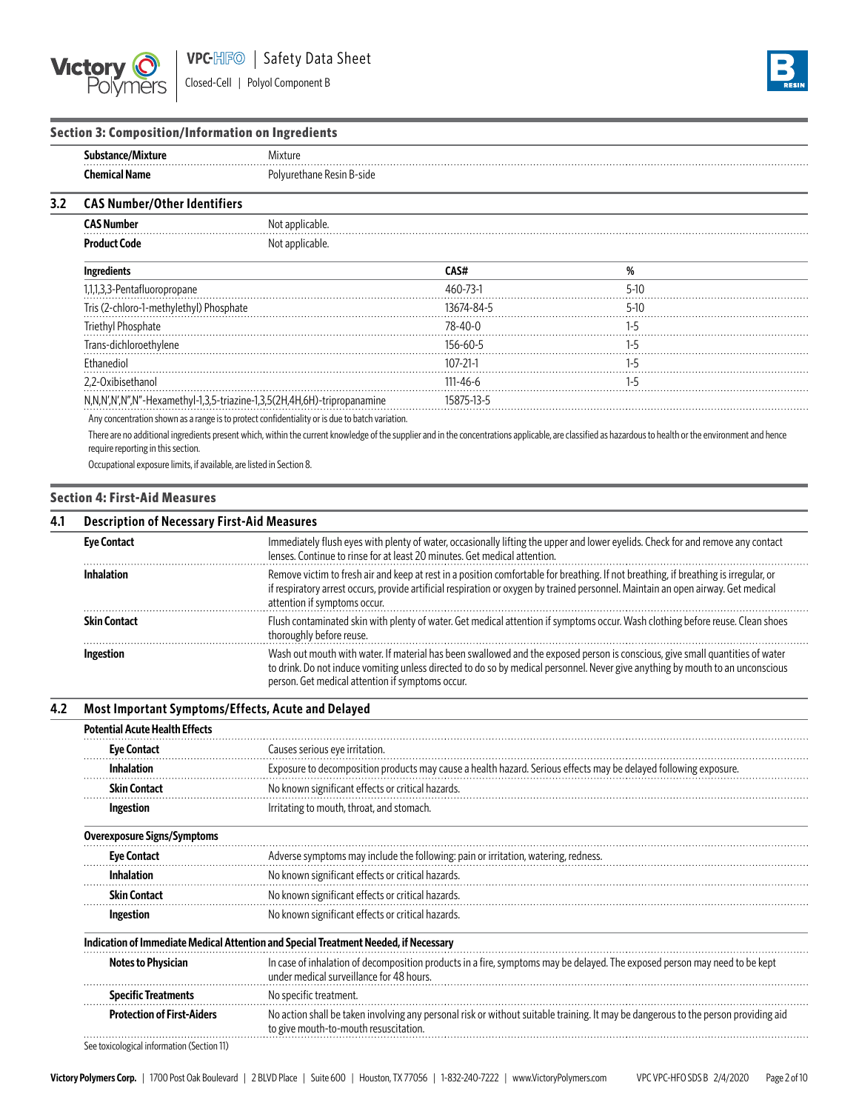



## **Section 3: Composition/Information on Ingredients**

| Substance/Mixture<br>Mixture<br><b>Chemical Name</b><br>Polyurethane Resin B-side | .<br>.<br>. |  |
|-----------------------------------------------------------------------------------|-------------|--|
|                                                                                   |             |  |
|                                                                                   |             |  |

#### **3.2 CAS Number/Other Identifiers**

| <b>Product Code</b>                     | Not applicable.                                                                                                 |                |         |  |
|-----------------------------------------|-----------------------------------------------------------------------------------------------------------------|----------------|---------|--|
| <b>Ingredients</b>                      |                                                                                                                 | CAS#           | %       |  |
| I, 1, 1, 3, 3- Pentafluoropropane       |                                                                                                                 | $460 - 73 - 1$ | 5-10    |  |
| Tris (2-chloro-1-methylethyl) Phosphate |                                                                                                                 | 13674-84-5     | 5-10    |  |
| Triethyl Phosphate                      |                                                                                                                 | $78 - 40 - 0$  |         |  |
| Trans-dichloroethylene                  |                                                                                                                 | 156-60-5       | $1 - 5$ |  |
| <b>Fthanediol</b>                       |                                                                                                                 | $107 - 21 - 1$ |         |  |
| 2.2-Oxibisethanol                       |                                                                                                                 | $111 - 46 - 6$ | 1-5     |  |
|                                         | N,N,N',N',N",N"-Hexamethyl-1,3,5-triazine-1,3,5(2H,4H,6H)-tripropanamine                                        | 15875-13-5     |         |  |
|                                         | the contract of the contract of the contract of the contract of the contract of the contract of the contract of |                |         |  |

Any concentration shown as a range is to protect confidentiality or is due to batch variation.

There are no additional ingredients present which, within the current knowledge of the supplier and in the concentrations applicable, are classified as hazardous to health or the environment and hence require reporting in this section.

Occupational exposure limits, if available, are listed in Section 8.

#### **Section 4: First-Aid Measures**

| 4.1 | <b>Description of Necessary First-Aid Measures</b> |                                                                                                                                                                                                                                                                                                                     |  |  |  |  |
|-----|----------------------------------------------------|---------------------------------------------------------------------------------------------------------------------------------------------------------------------------------------------------------------------------------------------------------------------------------------------------------------------|--|--|--|--|
|     | <b>Eye Contact</b>                                 | Immediately flush eyes with plenty of water, occasionally lifting the upper and lower eyelids. Check for and remove any contact<br>lenses. Continue to rinse for at least 20 minutes. Get medical attention.                                                                                                        |  |  |  |  |
|     | <b>Inhalation</b>                                  | Remove victim to fresh air and keep at rest in a position comfortable for breathing. If not breathing, if breathing is irregular, or<br>if respiratory arrest occurs, provide artificial respiration or oxygen by trained personnel. Maintain an open airway. Get medical<br>attention if symptoms occur.           |  |  |  |  |
|     | <b>Skin Contact</b>                                | Flush contaminated skin with plenty of water. Get medical attention if symptoms occur. Wash clothing before reuse. Clean shoes<br>thoroughly before reuse.                                                                                                                                                          |  |  |  |  |
|     | <b>Ingestion</b>                                   | Wash out mouth with water. If material has been swallowed and the exposed person is conscious, give small quantities of water<br>to drink. Do not induce vomiting unless directed to do so by medical personnel. Never give anything by mouth to an unconscious<br>person. Get medical attention if symptoms occur. |  |  |  |  |

# **4.2 Most Important Symptoms/Effects, Acute and Delayed**

| <b>Potential Acute Health Effects</b> |                                                                                                                                                                             |
|---------------------------------------|-----------------------------------------------------------------------------------------------------------------------------------------------------------------------------|
| <b>Eye Contact</b>                    | Causes serious eye irritation.                                                                                                                                              |
| <b>Inhalation</b>                     | Exposure to decomposition products may cause a health hazard. Serious effects may be delayed following exposure.                                                            |
| <b>Skin Contact</b>                   | No known significant effects or critical hazards.                                                                                                                           |
| Ingestion                             | Irritating to mouth, throat, and stomach.                                                                                                                                   |
| <b>Overexposure Signs/Symptoms</b>    |                                                                                                                                                                             |
| <b>Eye Contact</b>                    | Adverse symptoms may include the following: pain or irritation, watering, redness.                                                                                          |
| <b>Inhalation</b>                     | No known significant effects or critical hazards.                                                                                                                           |
| <b>Skin Contact</b>                   | No known significant effects or critical hazards.                                                                                                                           |
| Ingestion                             | No known significant effects or critical hazards.                                                                                                                           |
|                                       | Indication of Immediate Medical Attention and Special Treatment Needed, if Necessary                                                                                        |
| <b>Notes to Physician</b>             | In case of inhalation of decomposition products in a fire, symptoms may be delayed. The exposed person may need to be kept<br>under medical surveillance for 48 hours.      |
| <b>Specific Treatments</b>            | No specific treatment.                                                                                                                                                      |
| <b>Protection of First-Aiders</b>     | No action shall be taken involving any personal risk or without suitable training. It may be dangerous to the person providing aid<br>to give mouth-to-mouth resuscitation. |
|                                       |                                                                                                                                                                             |

See toxicological information (Section 11)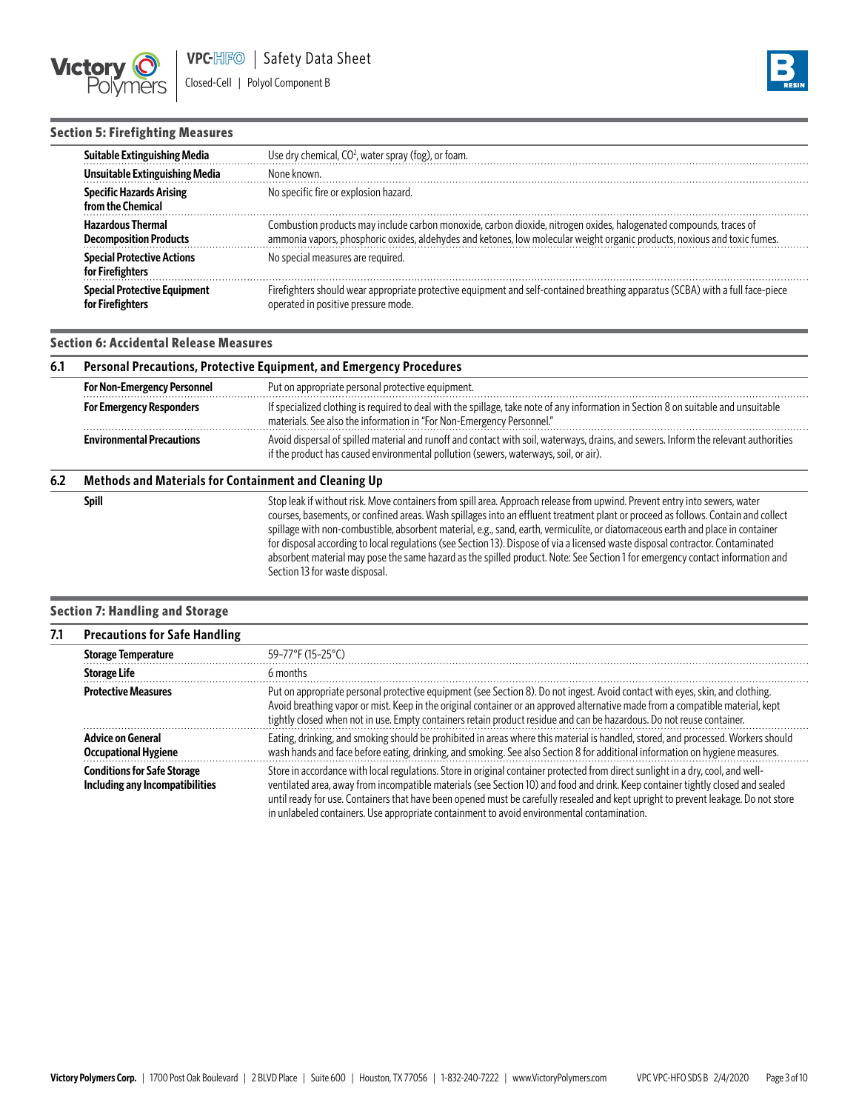



## **Section 5: Firefighting Measures**

| Suitable Extinguishing Media                              | Use dry chemical, CO <sup>2</sup> , water spray (fog), or foam.                                                                                                                                                                                 |
|-----------------------------------------------------------|-------------------------------------------------------------------------------------------------------------------------------------------------------------------------------------------------------------------------------------------------|
| Unsuitable Extinguishing Media                            | None known.                                                                                                                                                                                                                                     |
| <b>Specific Hazards Arising</b><br>from the Chemical      | No specific fire or explosion hazard.                                                                                                                                                                                                           |
| <b>Hazardous Thermal</b><br><b>Decomposition Products</b> | Combustion products may include carbon monoxide, carbon dioxide, nitrogen oxides, halogenated compounds, traces of<br>ammonia vapors, phosphoric oxides, aldehydes and ketones, low molecular weight organic products, noxious and toxic fumes. |
| <b>Special Protective Actions</b><br>for Firefighters     | No special measures are required.                                                                                                                                                                                                               |
| <b>Special Protective Equipment</b><br>for Firefighters   | Firefighters should wear appropriate protective equipment and self-contained breathing apparatus (SCBA) with a full face-piece<br>operated in positive pressure mode.                                                                           |

## **Section 6: Accidental Release Measures**

| 6.1 | Personal Precautions, Protective Equipment, and Emergency Procedures                                                                                                                                                                                             |                                                                                                                                                                                                                                                                                                                                                                                    |  |  |
|-----|------------------------------------------------------------------------------------------------------------------------------------------------------------------------------------------------------------------------------------------------------------------|------------------------------------------------------------------------------------------------------------------------------------------------------------------------------------------------------------------------------------------------------------------------------------------------------------------------------------------------------------------------------------|--|--|
|     | <b>For Non-Emergency Personnel</b>                                                                                                                                                                                                                               | Put on appropriate personal protective equipment.                                                                                                                                                                                                                                                                                                                                  |  |  |
|     | <b>For Emergency Responders</b>                                                                                                                                                                                                                                  | If specialized clothing is required to deal with the spillage, take note of any information in Section 8 on suitable and unsuitable<br>materials. See also the information in "For Non-Emergency Personnel."                                                                                                                                                                       |  |  |
|     | Avoid dispersal of spilled material and runoff and contact with soil, waterways, drains, and sewers. Inform the relevant authorities<br><b>Environmental Precautions</b><br>if the product has caused environmental pollution (sewers, waterways, soil, or air). |                                                                                                                                                                                                                                                                                                                                                                                    |  |  |
| 6.2 | Methods and Materials for Containment and Cleaning Up                                                                                                                                                                                                            |                                                                                                                                                                                                                                                                                                                                                                                    |  |  |
|     | Spill                                                                                                                                                                                                                                                            | Stop leak if without risk. Move containers from spill area. Approach release from upwind. Prevent entry into sewers, water<br>courses, basements, or confined areas. Wash spillages into an effluent treatment plant or proceed as follows. Contain and collect<br>epillars with non-combustible absorbent material equation of experience of distances use and place in container |  |  |

ge with non-combustible, absorbent material, e.g., sand, earth, vermiculite, or diatomaceous earth and place in container for disposal according to local regulations (see Section 13). Dispose of via a licensed waste disposal contractor. Contaminated absorbent material may pose the same hazard as the spilled product. Note: See Section 1 for emergency contact information and Section 13 for waste disposal.

## **Section 7: Handling and Storage**

| 7.1 | <b>Precautions for Safe Handling</b>                                  |                                                                                                                                                                                                                                                                                                                                                                                                                                                                                                         |  |  |  |
|-----|-----------------------------------------------------------------------|---------------------------------------------------------------------------------------------------------------------------------------------------------------------------------------------------------------------------------------------------------------------------------------------------------------------------------------------------------------------------------------------------------------------------------------------------------------------------------------------------------|--|--|--|
|     | <b>Storage Temperature</b>                                            | 59-77°F (15-25°C)                                                                                                                                                                                                                                                                                                                                                                                                                                                                                       |  |  |  |
|     | <b>Storage Life</b>                                                   | 6 months                                                                                                                                                                                                                                                                                                                                                                                                                                                                                                |  |  |  |
|     | <b>Protective Measures</b>                                            | Put on appropriate personal protective equipment (see Section 8). Do not ingest. Avoid contact with eyes, skin, and clothing.<br>Avoid breathing vapor or mist. Keep in the original container or an approved alternative made from a compatible material, kept<br>tightly closed when not in use. Empty containers retain product residue and can be hazardous. Do not reuse container.                                                                                                                |  |  |  |
|     | <b>Advice on General</b><br><b>Occupational Hygiene</b>               | Eating, drinking, and smoking should be prohibited in areas where this material is handled, stored, and processed. Workers should<br>wash hands and face before eating, drinking, and smoking. See also Section 8 for additional information on hygiene measures.                                                                                                                                                                                                                                       |  |  |  |
|     | <b>Conditions for Safe Storage</b><br>Including any Incompatibilities | Store in accordance with local regulations. Store in original container protected from direct sunlight in a dry, cool, and well-<br>ventilated area, away from incompatible materials (see Section 10) and food and drink. Keep container tightly closed and sealed<br>until ready for use. Containers that have been opened must be carefully resealed and kept upright to prevent leakage. Do not store<br>in unlabeled containers. Use appropriate containment to avoid environmental contamination. |  |  |  |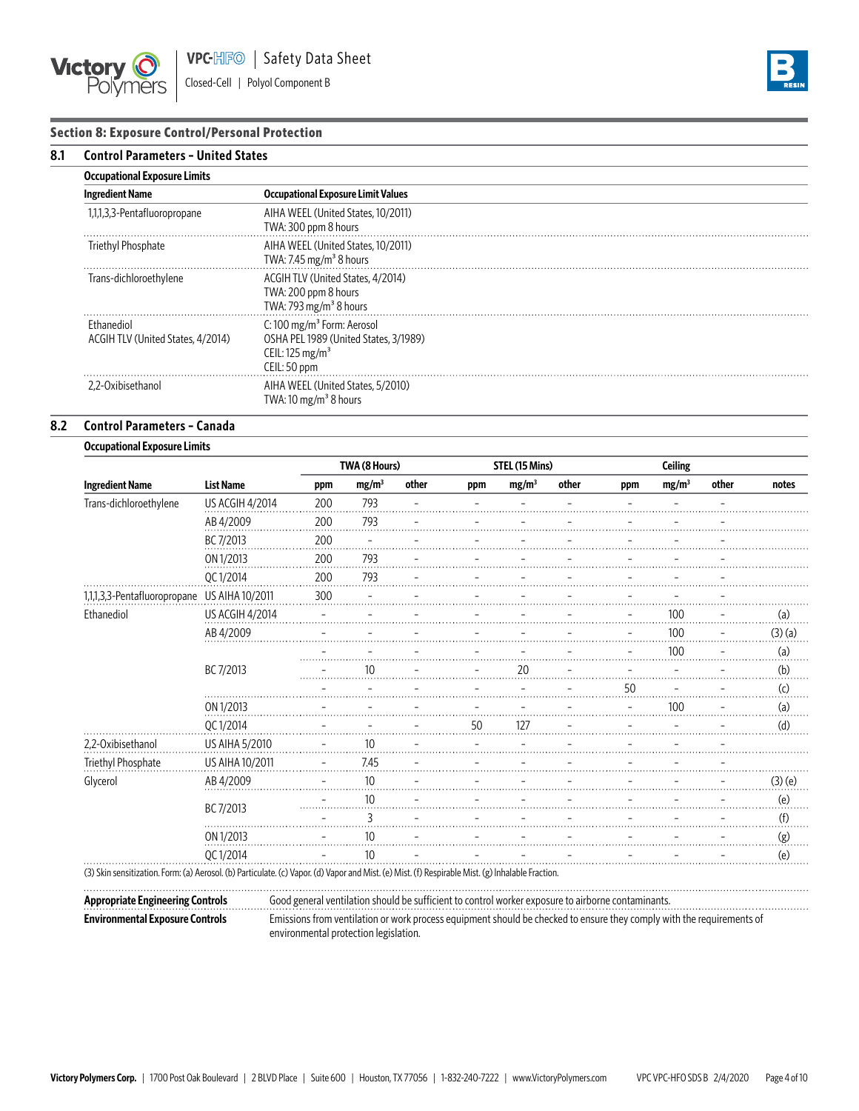

# **Section 8: Exposure Control/Personal Protection**

| 8.1 | <b>Control Parameters - United States</b>       |                                                                                                                               |  |  |  |
|-----|-------------------------------------------------|-------------------------------------------------------------------------------------------------------------------------------|--|--|--|
|     | <b>Occupational Exposure Limits</b>             |                                                                                                                               |  |  |  |
|     | <b>Ingredient Name</b>                          | <b>Occupational Exposure Limit Values</b>                                                                                     |  |  |  |
|     | 1,1,1,3,3-Pentafluoropropane                    | AIHA WEEL (United States, 10/2011)<br>TWA: 300 ppm 8 hours                                                                    |  |  |  |
|     | Triethyl Phosphate                              | AIHA WEEL (United States, 10/2011)<br>TWA: 7.45 mg/m <sup>3</sup> 8 hours                                                     |  |  |  |
|     | Trans-dichloroethylene                          | ACGIH TLV (United States, 4/2014)<br>TWA: 200 ppm 8 hours<br>TWA: 793 mg/m <sup>3</sup> 8 hours                               |  |  |  |
|     | Fthanediol<br>ACGIH TLV (United States, 4/2014) | C: 100 mg/m <sup>3</sup> Form: Aerosol<br>OSHA PEL 1989 (United States, 3/1989)<br>CEIL: $125 \text{ mg/m}^3$<br>CEIL: 50 ppm |  |  |  |
|     | 2.2-Oxibisethanol                               | AIHA WEEL (United States, 5/2010)<br>TWA: 10 mg/m <sup>3</sup> 8 hours                                                        |  |  |  |

## **8.2 Control Parameters – Canada**

|                              | <b>Occupational Exposure Limits</b> |     |                   |       |                |                   |       |                |                   |       |                    |
|------------------------------|-------------------------------------|-----|-------------------|-------|----------------|-------------------|-------|----------------|-------------------|-------|--------------------|
|                              |                                     |     | TWA (8 Hours)     |       | STEL (15 Mins) |                   |       | <b>Ceiling</b> |                   |       |                    |
| <b>Ingredient Name</b>       | <b>List Name</b>                    | ppm | mg/m <sup>3</sup> | other | ppm            | mg/m <sup>3</sup> | other | ppm            | mg/m <sup>3</sup> | other | notes              |
| Trans-dichloroethylene       | US ACGIH 4/2014                     | 200 | 793               |       |                |                   |       |                |                   |       |                    |
|                              | AB 4/2009                           | 200 | 793               |       |                |                   |       |                |                   |       |                    |
|                              | BC 7/2013                           | 200 |                   |       |                |                   |       |                |                   |       |                    |
|                              | ON 1/2013                           | 200 | 793               |       |                |                   |       |                |                   |       |                    |
|                              | QC 1/2014                           | 200 | 793               |       |                |                   |       |                |                   |       |                    |
| 1,1,1,3,3-Pentafluoropropane | US AIHA 10/2011                     | 300 |                   |       |                |                   |       |                |                   |       |                    |
| Ethanediol                   | <b>US ACGIH 4/2014</b>              |     |                   |       |                |                   |       |                | 100               |       | (a)                |
|                              | AB 4/2009                           |     |                   |       |                |                   |       |                | 100               |       | (3)(a)             |
|                              |                                     |     |                   |       |                |                   |       |                | 100               |       | (a)                |
|                              | BC 7/2013                           |     | 10                |       |                | 20                |       |                |                   |       | (b)                |
|                              |                                     |     |                   |       |                |                   |       | 50             |                   |       | $\left( 0 \right)$ |
|                              | ON 1/2013                           |     |                   |       |                |                   |       |                | 100               |       | (a)                |
|                              | QC 1/2014                           |     |                   |       | 50             |                   |       |                |                   |       | (d)                |
| 2,2-Oxibisethanol            | US AIHA 5/2010                      |     | 10                |       |                |                   |       |                |                   |       |                    |
| Triethyl Phosphate           | US AIHA 10/2011                     |     | 7.45              |       |                |                   |       |                |                   |       |                    |
| Glycerol                     | AB 4/2009                           |     | 10                |       |                |                   |       |                |                   |       | $(3)$ (e)          |
|                              |                                     |     | 10                |       |                |                   |       |                |                   |       | (e)                |
|                              | BC 7/2013                           |     | 3                 |       |                |                   |       |                |                   |       | (f)                |
|                              | ON 1/2013                           |     | 10                |       |                |                   |       |                |                   |       | (g)                |
|                              | QC 1/2014                           |     | 10                |       |                |                   |       |                |                   |       | (e)                |

(3) Skin sensitization. Form: (a) Aerosol. (b) Particulate. (c) Vapor. (d) Vapor and Mist. (e) Mist. (f) Respirable Mist. (g) lnhalable Fraction.

. . . . . . . . . . . . . . . .

**Appropriate Engineering Controls** Good general ventilation should be sufficient to control worker exposure to airborne contaminants.

**Environmental Exposure Controls** Emissions from ventilation or work process equipment should be checked to ensure they comply with the requirements of environmental protection legislation.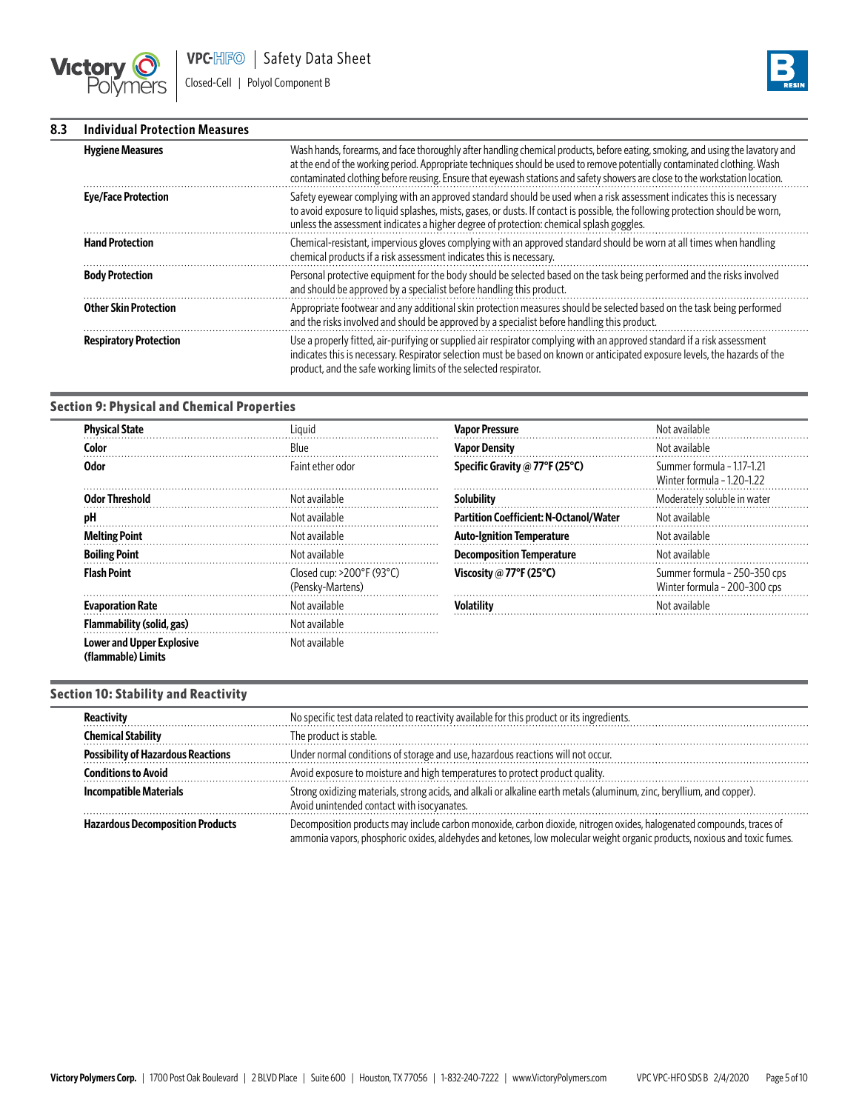



#### **8.3 Individual Protection Measures**

| <b>Hygiene Measures</b>       | Wash hands, forearms, and face thoroughly after handling chemical products, before eating, smoking, and using the lavatory and<br>at the end of the working period. Appropriate techniques should be used to remove potentially contaminated clothing. Wash<br>contaminated clothing before reusing. Ensure that eyewash stations and safety showers are close to the workstation location. |
|-------------------------------|---------------------------------------------------------------------------------------------------------------------------------------------------------------------------------------------------------------------------------------------------------------------------------------------------------------------------------------------------------------------------------------------|
| <b>Eye/Face Protection</b>    | Safety eyewear complying with an approved standard should be used when a risk assessment indicates this is necessary<br>to avoid exposure to liquid splashes, mists, gases, or dusts. If contact is possible, the following protection should be worn,<br>unless the assessment indicates a higher degree of protection: chemical splash goggles.                                           |
| <b>Hand Protection</b>        | Chemical-resistant, impervious gloves complying with an approved standard should be worn at all times when handling<br>chemical products if a risk assessment indicates this is necessary.                                                                                                                                                                                                  |
| <b>Body Protection</b>        | Personal protective equipment for the body should be selected based on the task being performed and the risks involved<br>and should be approved by a specialist before handling this product.                                                                                                                                                                                              |
| <b>Other Skin Protection</b>  | Appropriate footwear and any additional skin protection measures should be selected based on the task being performed<br>and the risks involved and should be approved by a specialist before handling this product.                                                                                                                                                                        |
| <b>Respiratory Protection</b> | Use a properly fitted, air-purifying or supplied air respirator complying with an approved standard if a risk assessment<br>indicates this is necessary. Respirator selection must be based on known or anticipated exposure levels, the hazards of the<br>product, and the safe working limits of the selected respirator.                                                                 |

## **Section 9: Physical and Chemical Properties**

| <b>Physical State</b>                                  | Liauid                                                       | <b>Vapor Pressure</b>                         | Not available                                                |
|--------------------------------------------------------|--------------------------------------------------------------|-----------------------------------------------|--------------------------------------------------------------|
| Color                                                  | Blue                                                         | <b>Vapor Density</b>                          | Not available                                                |
| <b>Odor</b>                                            | Faint ether odor                                             | Specific Gravity @ 77°F (25°C)                | Summer formula - 1.17-1.21<br>Winter formula - 1.20-1.22     |
| <b>Odor Threshold</b>                                  | Not available                                                | <b>Solubility</b>                             | Moderately soluble in water                                  |
| рH                                                     | Not available                                                | <b>Partition Coefficient: N-Octanol/Water</b> | Not available                                                |
| <b>Melting Point</b>                                   | Not available                                                | <b>Auto-Ignition Temperature</b>              | Not available                                                |
| <b>Boiling Point</b>                                   | Not available                                                | <b>Decomposition Temperature</b>              | Not available                                                |
| <b>Flash Point</b>                                     | Closed cup: $>200^{\circ}F(93^{\circ}C)$<br>(Pensky-Martens) | Viscosity @ 77°F (25°C)                       | Summer formula - 250-350 cps<br>Winter formula - 200-300 cps |
| <b>Evaporation Rate</b>                                | Not available                                                | <b>Volatility</b>                             | Not available                                                |
| Flammability (solid, gas)                              | Not available                                                |                                               |                                                              |
| <b>Lower and Upper Explosive</b><br>(flammable) Limits | Not available                                                |                                               |                                                              |

## **Section 10: Stability and Reactivity**

| Reactivity                                | No specific test data related to reactivity available for this product or its ingredients.                                                                                                                                                         |
|-------------------------------------------|----------------------------------------------------------------------------------------------------------------------------------------------------------------------------------------------------------------------------------------------------|
| <b>Chemical Stability</b>                 | The product is stable.                                                                                                                                                                                                                             |
| <b>Possibility of Hazardous Reactions</b> | Under normal conditions of storage and use, hazardous reactions will not occur.                                                                                                                                                                    |
| <b>Conditions to Avoid</b>                | Avoid exposure to moisture and high temperatures to protect product quality.                                                                                                                                                                       |
| <b>Incompatible Materials</b>             | Strong oxidizing materials, strong acids, and alkali or alkaline earth metals (aluminum, zinc, beryllium, and copper).<br>Avoid unintended contact with isocyanates.                                                                               |
| <b>Hazardous Decomposition Products</b>   | Decomposition products may include carbon monoxide, carbon dioxide, nitrogen oxides, halogenated compounds, traces of<br>ammonia vapors, phosphoric oxides, aldehydes and ketones, low molecular weight organic products, noxious and toxic fumes. |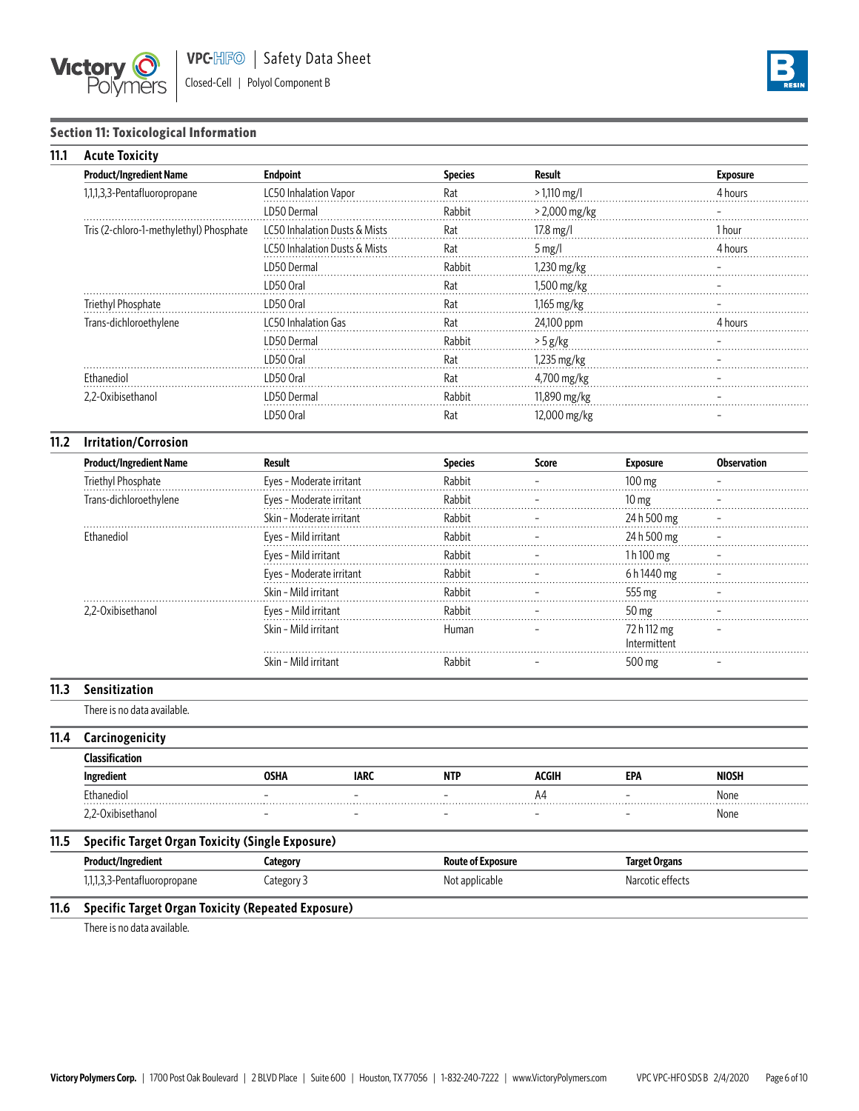



# **Section 11: Toxicological Information**

| 11.1 | <b>Acute Toxicity</b>                                     |                          |                               |                          |                     |                             |                    |
|------|-----------------------------------------------------------|--------------------------|-------------------------------|--------------------------|---------------------|-----------------------------|--------------------|
|      | <b>Product/Ingredient Name</b>                            | <b>Endpoint</b>          |                               | <b>Species</b>           | <b>Result</b>       |                             | <b>Exposure</b>    |
|      | 1,1,1,3,3-Pentafluoropropane                              | LC50 Inhalation Vapor    |                               | Rat                      | $>1,110$ mg/l       |                             | 4 hours            |
|      |                                                           | LD50 Dermal              |                               | Rabbit                   | > 2,000 mg/kg       |                             |                    |
|      | Tris (2-chloro-1-methylethyl) Phosphate                   |                          | LC50 Inhalation Dusts & Mists | Rat                      | 17.8 mg/l           |                             | 1 hour             |
|      |                                                           |                          | LC50 Inhalation Dusts & Mists | Rat                      | $5 \,\mathrm{mg}/l$ |                             | 4 hours            |
|      |                                                           | LD50 Dermal              |                               | Rabbit                   | 1,230 mg/kg         |                             |                    |
|      |                                                           | LD50 Oral                |                               | Rat                      | 1,500 mg/kg         |                             |                    |
|      | Triethyl Phosphate                                        | LD50 Oral                |                               | Rat                      | 1,165 mg/kg         |                             |                    |
|      | Trans-dichloroethylene                                    | LC50 Inhalation Gas      |                               | Rat                      | 24,100 ppm          |                             |                    |
|      |                                                           | LD50 Dermal              |                               | Rabbit                   | $> 5 g/kg$          |                             |                    |
|      |                                                           | LD50 Oral                |                               | Rat                      | 1,235 mg/kg         |                             |                    |
|      | Ethanediol                                                | LD50 Oral                |                               | Rat                      | 4,700 mg/kg         |                             |                    |
|      | 2,2-Oxibisethanol                                         | LD50 Dermal              |                               | Rabbit                   | 11,890 mg/kg        |                             |                    |
|      |                                                           | LD50 Oral                |                               | Rat                      | 12,000 mg/kg        |                             |                    |
| 11.2 | <b>Irritation/Corrosion</b>                               |                          |                               |                          |                     |                             |                    |
|      | <b>Product/Ingredient Name</b>                            | <b>Result</b>            |                               | <b>Species</b>           | <b>Score</b>        | <b>Exposure</b>             | <b>Observation</b> |
|      | Triethyl Phosphate                                        | Eyes - Moderate irritant |                               | Rabbit                   |                     | 100 mg                      |                    |
|      | Trans-dichloroethylene                                    | Eyes - Moderate irritant |                               | Rabbit                   |                     | $10 \text{ mg}$             |                    |
|      |                                                           | Skin - Moderate irritant |                               | Rabbit                   |                     | 24 h 500 mg                 |                    |
|      | Ethanediol                                                | Eyes - Mild irritant     |                               | Rabbit                   |                     | 24 h 500 mg                 |                    |
|      |                                                           | Eyes - Mild irritant     |                               | Rabbit                   |                     | 1h100 mg                    |                    |
|      |                                                           | Eyes - Moderate irritant |                               | Rabbit                   |                     | 6h1440 mg                   |                    |
|      |                                                           | Skin - Mild irritant     |                               | Rabbit                   |                     | 555 mg                      |                    |
|      | 2,2-Oxibisethanol                                         | Eyes - Mild irritant     |                               | Rabbit                   |                     | 50 mg                       |                    |
|      |                                                           | Skin - Mild irritant     |                               | Human                    |                     | 72 h 112 mg<br>Intermittent |                    |
|      |                                                           | Skin - Mild irritant     |                               | Rabbit                   |                     | 500 mg                      |                    |
| 11.3 | Sensitization                                             |                          |                               |                          |                     |                             |                    |
|      | There is no data available.                               |                          |                               |                          |                     |                             |                    |
| 11.4 | Carcinogenicity                                           |                          |                               |                          |                     |                             |                    |
|      | <b>Classification</b>                                     |                          |                               |                          |                     |                             |                    |
|      | Ingredient                                                | <b>OSHA</b>              | <b>IARC</b>                   | <b>NTP</b>               | ACGIH               | <b>EPA</b>                  | <b>NIOSH</b>       |
|      | Ethanediol                                                |                          |                               |                          | A4                  |                             | None               |
|      | 2,2-Oxibisethanol                                         |                          |                               |                          |                     |                             | None               |
| 11.5 | <b>Specific Target Organ Toxicity (Single Exposure)</b>   |                          |                               |                          |                     |                             |                    |
|      | Product/Ingredient                                        | Category                 |                               | <b>Route of Exposure</b> |                     | <b>Target Organs</b>        |                    |
|      | 1,1,1,3,3-Pentafluoropropane                              | Category 3               |                               | Not applicable           |                     | Narcotic effects            |                    |
| 11.6 | <b>Specific Target Organ Toxicity (Repeated Exposure)</b> |                          |                               |                          |                     |                             |                    |

There is no data available.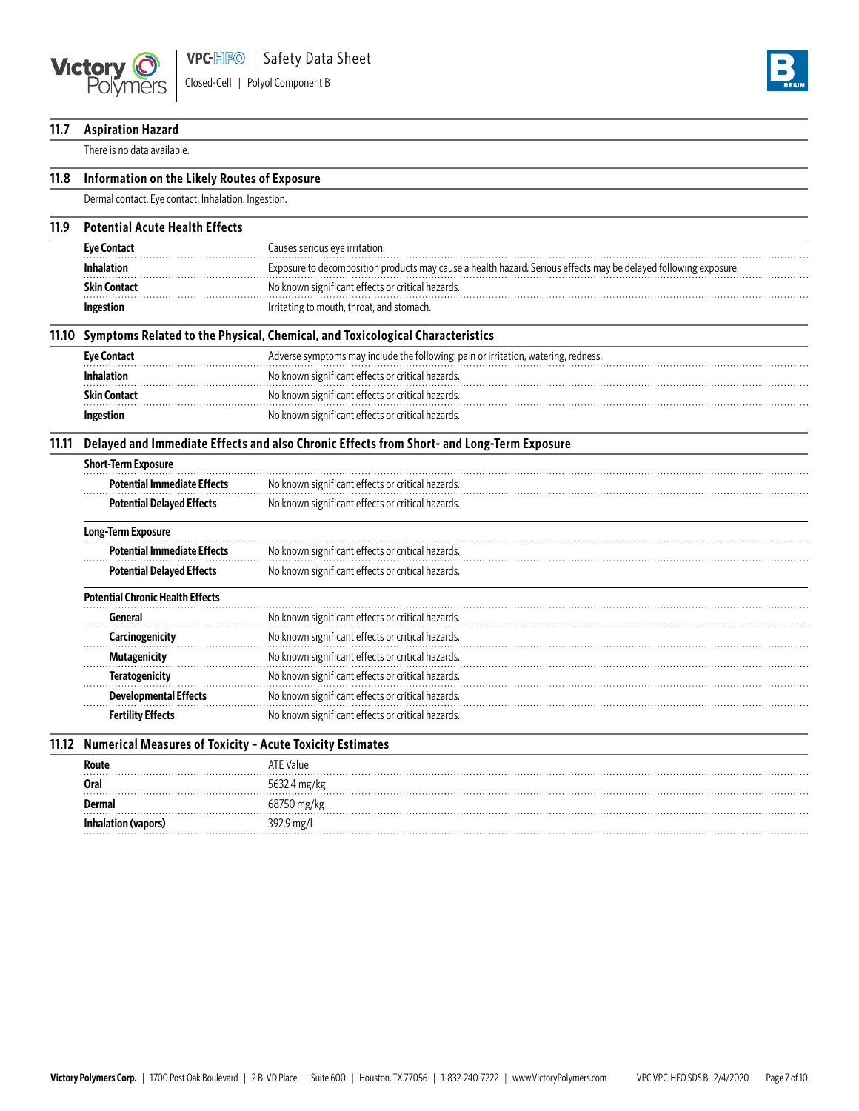

**Inhalation (vapors)** 392.9 mg/l



| 11.7  | <b>Aspiration Hazard</b>                                                                  |                                                                                                                 |  |  |  |  |
|-------|-------------------------------------------------------------------------------------------|-----------------------------------------------------------------------------------------------------------------|--|--|--|--|
|       | There is no data available.                                                               |                                                                                                                 |  |  |  |  |
| 11.8  | Information on the Likely Routes of Exposure                                              |                                                                                                                 |  |  |  |  |
|       | Dermal contact. Eye contact. Inhalation. Ingestion.                                       |                                                                                                                 |  |  |  |  |
| 11.9  | <b>Potential Acute Health Effects</b>                                                     |                                                                                                                 |  |  |  |  |
|       | <b>Eye Contact</b>                                                                        | Causes serious eye irritation.                                                                                  |  |  |  |  |
|       | <b>Inhalation</b>                                                                         | Exposure to decomposition products may cause a health hazard. Serious effects may be delayed following exposure |  |  |  |  |
|       | <b>Skin Contact</b>                                                                       | No known significant effects or critical hazards.                                                               |  |  |  |  |
|       | Ingestion                                                                                 | Irritating to mouth, throat, and stomach.                                                                       |  |  |  |  |
|       |                                                                                           | 11.10 Symptoms Related to the Physical, Chemical, and Toxicological Characteristics                             |  |  |  |  |
|       | <b>Eye Contact</b>                                                                        | Adverse symptoms may include the following: pain or irritation, watering, redness.                              |  |  |  |  |
|       | <b>Inhalation</b>                                                                         | No known significant effects or critical hazards.                                                               |  |  |  |  |
|       | <b>Skin Contact</b>                                                                       | No known significant effects or critical hazards.                                                               |  |  |  |  |
|       | Ingestion                                                                                 | No known significant effects or critical hazards.                                                               |  |  |  |  |
| 11.11 | Delayed and Immediate Effects and also Chronic Effects from Short- and Long-Term Exposure |                                                                                                                 |  |  |  |  |
|       | <b>Short-Term Exposure</b>                                                                |                                                                                                                 |  |  |  |  |
|       | <b>Potential Immediate Effects</b>                                                        | No known significant effects or critical hazards.                                                               |  |  |  |  |
|       | <b>Potential Delayed Effects</b>                                                          | No known significant effects or critical hazards.                                                               |  |  |  |  |
|       | Long-Term Exposure                                                                        |                                                                                                                 |  |  |  |  |
|       | <b>Potential Immediate Effects</b>                                                        | No known significant effects or critical hazards.                                                               |  |  |  |  |
|       | <b>Potential Delayed Effects</b>                                                          | No known significant effects or critical hazards.                                                               |  |  |  |  |
|       | <b>Potential Chronic Health Effects</b>                                                   |                                                                                                                 |  |  |  |  |
|       | General                                                                                   | No known significant effects or critical hazards.                                                               |  |  |  |  |
|       | Carcinogenicity                                                                           | No known significant effects or critical hazards.                                                               |  |  |  |  |
|       | Mutagenicity                                                                              | No known significant effects or critical hazards.                                                               |  |  |  |  |
|       | <b>Teratogenicity</b>                                                                     | No known significant effects or critical hazards.                                                               |  |  |  |  |
|       | <b>Developmental Effects</b>                                                              | No known significant effects or critical hazards.                                                               |  |  |  |  |
|       | <b>Fertility Effects</b>                                                                  | No known significant effects or critical hazards.                                                               |  |  |  |  |
|       | 11.12 Numerical Measures of Toxicity - Acute Toxicity Estimates                           |                                                                                                                 |  |  |  |  |
|       | Route                                                                                     | <b>ATE Value</b>                                                                                                |  |  |  |  |
|       | <b>Oral</b>                                                                               | 5632.4 mg/kg                                                                                                    |  |  |  |  |
|       | <b>Dermal</b>                                                                             | 68750 mg/kg                                                                                                     |  |  |  |  |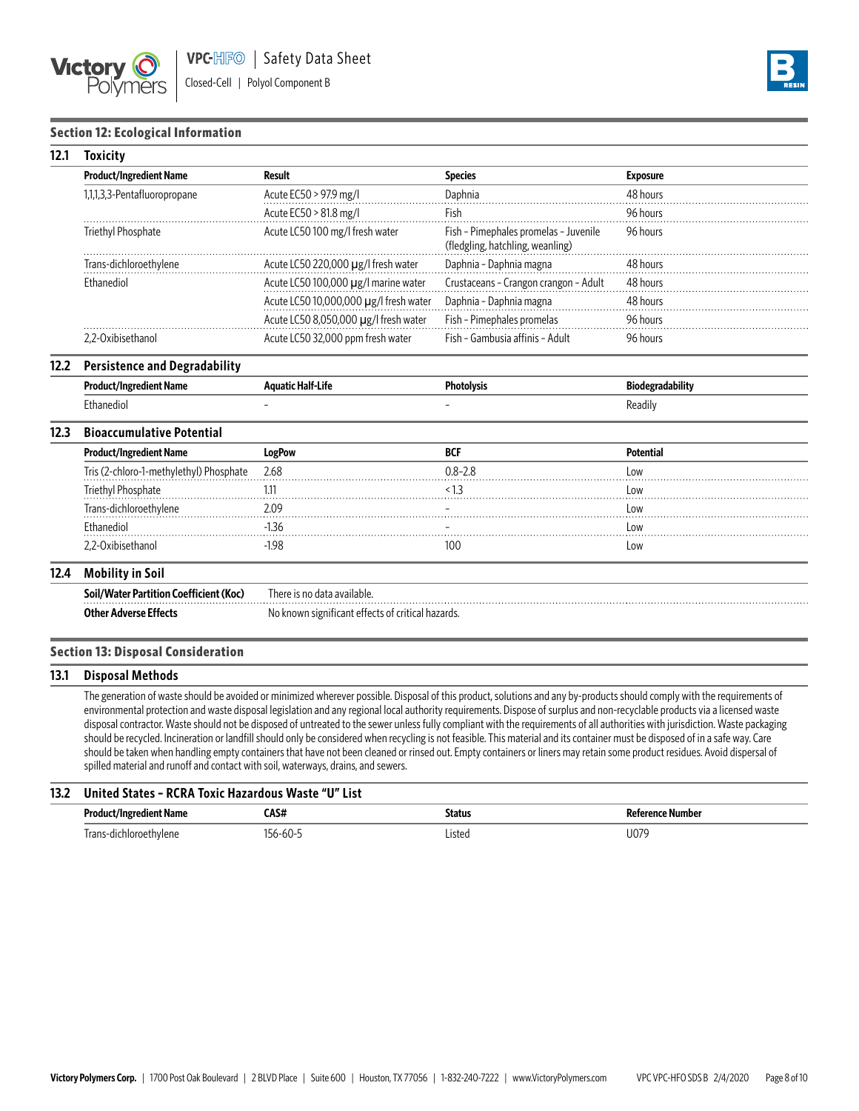



### **Section 12: Ecological Information**

| 12.1 | Toxicitv                                 |                                        |                                                                           |                 |  |
|------|------------------------------------------|----------------------------------------|---------------------------------------------------------------------------|-----------------|--|
|      | <b>Product/Ingredient Name</b><br>Result |                                        | <b>Species</b>                                                            | <b>Exposure</b> |  |
|      | 1,1,1,3,3-Pentafluoropropane             | Acute EC50 > 97.9 mg/l                 | Daphnia                                                                   | 48 hours        |  |
|      |                                          | Acute EC50 > 81.8 mg/l                 | Fish                                                                      | 96 hours        |  |
|      | Triethyl Phosphate                       | Acute LC50 100 mg/l fresh water        | Fish - Pimephales promelas - Juvenile<br>(fledgling, hatchling, weanling) | 96 hours        |  |
|      | Trans-dichloroethylene                   | Acute LC50 220,000 µg/l fresh water    | Daphnia - Daphnia magna                                                   | 48 hours        |  |
|      | Ethanediol                               | Acute LC50 100,000 µg/l marine water   | Crustaceans - Crangon crangon - Adult                                     | 48 hours        |  |
|      |                                          | Acute LC50 10,000,000 µg/l fresh water | Daphnia - Daphnia magna                                                   | 48 hours        |  |
|      |                                          | Acute LC50 8,050,000 µg/l fresh water  | Fish - Pimephales promelas                                                | 96 hours        |  |
|      | 2.2-Oxibisethanol                        | Acute LC50 32,000 ppm fresh water      | Fish - Gambusia affinis - Adult                                           | 96 hours        |  |

#### **12.2 Persistence and Degradability**

|                | Aaua<br>ыте | atolvsic<br>____ | .<br>radabilitv<br>BЮ<br>____ |
|----------------|-------------|------------------|-------------------------------|
| thanediol<br>. |             |                  | keadii'                       |

#### **12.3 Bioaccumulative Potential**

| <b>Product/Ingredient Name</b>          | LogPow  | <b>BCI</b>  | Potential  |
|-----------------------------------------|---------|-------------|------------|
| Iris (2-chloro-1-methylethyl) Phosphate | 2.68    | $0.8 - 2.8$ | Low        |
| Triethyl Phosphate                      |         |             | ∟0W        |
| Irans-dichloroethylene                  | ን 09    |             | LOW        |
| Ethanediol                              |         |             | LOW        |
| <u>Nihisethanol</u>                     | $-1.98$ | IUL.        | <b>LOW</b> |

## **12.4 Mobility in Soil**

| Soil/Water Partition Coefficient (Koc)<br>. | There is no data available                        |
|---------------------------------------------|---------------------------------------------------|
| <b>Other Adverse</b>                        | No known significant effects of critical hazards. |

#### **Section 13: Disposal Consideration**

#### **13.1 Disposal Methods**

The generation of waste should be avoided or minimized wherever possible. Disposal of this product, solutions and any by-products should comply with the requirements of environmental protection and waste disposal legislation and any regional local authority requirements. Dispose of surplus and non-recyclable products via a licensed waste disposal contractor. Waste should not be disposed of untreated to the sewer unless fully compliant with the requirements of all authorities with jurisdiction. Waste packaging should be recycled. Incineration or landfill should only be considered when recycling is not feasible. This material and its container must be disposed of in a safe way. Care should be taken when handling empty containers that have not been cleaned or rinsed out. Empty containers or liners may retain some product residues. Avoid dispersal of spilled material and runoff and contact with soil, waterways, drains, and sewers.

## **13.2 United States – RCRA Toxic Hazardous Waste "U" List**

| Produ                                       | 'A C # | <b>Status</b> | Numhor       |
|---------------------------------------------|--------|---------------|--------------|
| Name                                        | ∟мэн   | .             |              |
| rran <sup>o</sup><br>$-$ -bulane<br>thviene | $-1$   | Listed        | 107<br>''/∪ر |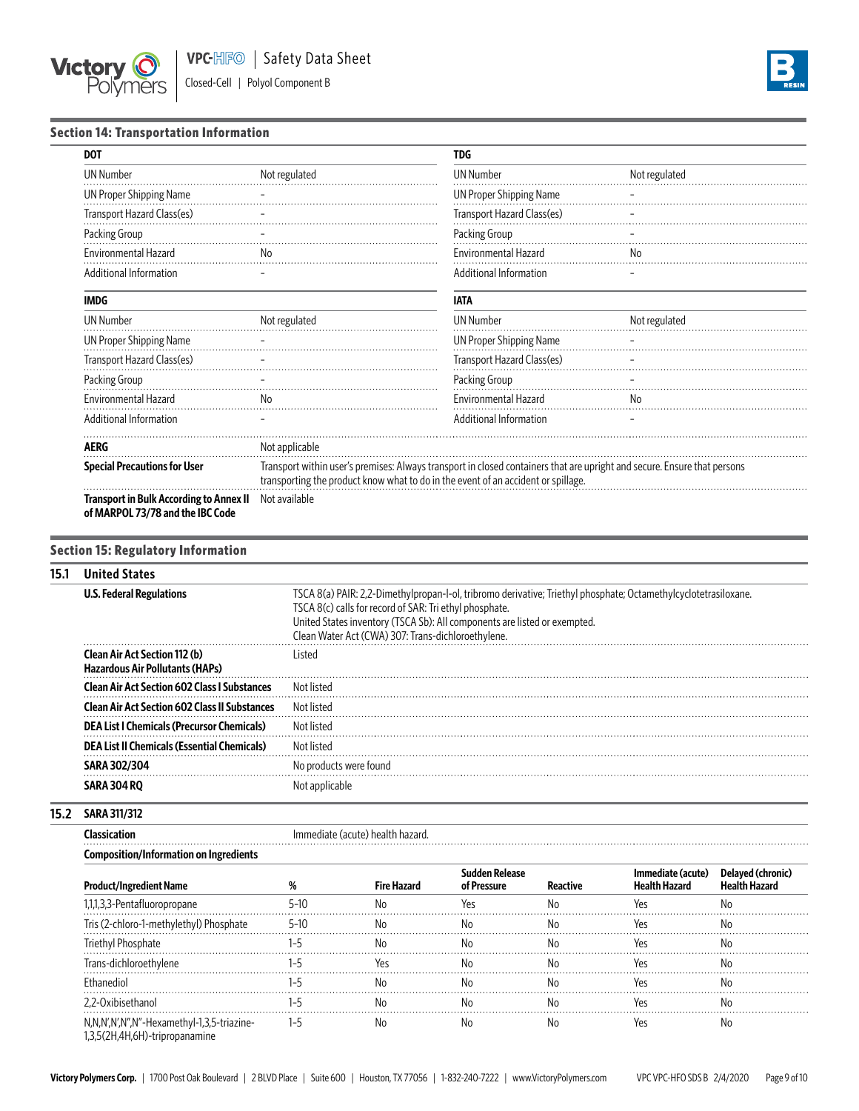



# **Section 14: Transportation Information**

| <b>DOT</b>                                                                         |                                                                                                                                                                                                               | <b>TDG</b>                     |               |
|------------------------------------------------------------------------------------|---------------------------------------------------------------------------------------------------------------------------------------------------------------------------------------------------------------|--------------------------------|---------------|
| <b>UN Number</b>                                                                   | Not regulated                                                                                                                                                                                                 | <b>UN Number</b>               | Not regulated |
| <b>UN Proper Shipping Name</b>                                                     |                                                                                                                                                                                                               | <b>UN Proper Shipping Name</b> |               |
| Transport Hazard Class(es)                                                         |                                                                                                                                                                                                               | Transport Hazard Class(es)     |               |
| Packing Group                                                                      |                                                                                                                                                                                                               | Packing Group                  |               |
| <b>Environmental Hazard</b>                                                        | No                                                                                                                                                                                                            | <b>Environmental Hazard</b>    | No.           |
| Additional Information                                                             |                                                                                                                                                                                                               | Additional Information         |               |
| <b>IMDG</b>                                                                        |                                                                                                                                                                                                               | <b>IATA</b>                    |               |
| <b>UN Number</b>                                                                   | Not regulated                                                                                                                                                                                                 | <b>UN Number</b>               | Not regulated |
| <b>UN Proper Shipping Name</b>                                                     |                                                                                                                                                                                                               | <b>UN Proper Shipping Name</b> |               |
| Transport Hazard Class(es)                                                         |                                                                                                                                                                                                               | Transport Hazard Class(es)     |               |
| Packing Group                                                                      |                                                                                                                                                                                                               | Packing Group                  |               |
| <b>Environmental Hazard</b>                                                        | No                                                                                                                                                                                                            | <b>Environmental Hazard</b>    | No.           |
| Additional Information                                                             |                                                                                                                                                                                                               | Additional Information         |               |
| AERG                                                                               | Not applicable                                                                                                                                                                                                |                                |               |
| <b>Special Precautions for User</b>                                                | Transport within user's premises: Always transport in closed containers that are upright and secure. Ensure that persons<br>transporting the product know what to do in the event of an accident or spillage. |                                |               |
| <b>Transport in Bulk According to Annex II</b><br>of MARPOL 73/78 and the IBC Code | Not available                                                                                                                                                                                                 |                                |               |

## **Section 15: Regulatory Information**

# **15.1 United States**

| <b>U.S. Federal Regulations</b>                                                | TSCA 8(a) PAIR: 2,2-Dimethylpropan-l-ol, tribromo derivative; Triethyl phosphate; Octamethylcyclotetrasiloxane.<br>TSCA 8(c) calls for record of SAR: Tri ethyl phosphate.<br>United States inventory (TSCA Sb): All components are listed or exempted.<br>Clean Water Act (CWA) 307: Trans-dichloroethylene. |
|--------------------------------------------------------------------------------|---------------------------------------------------------------------------------------------------------------------------------------------------------------------------------------------------------------------------------------------------------------------------------------------------------------|
| <b>Clean Air Act Section 112 (b)</b><br><b>Hazardous Air Pollutants (HAPs)</b> | Listed                                                                                                                                                                                                                                                                                                        |
| <b>Clean Air Act Section 602 Class I Substances</b>                            | Not listed                                                                                                                                                                                                                                                                                                    |
| <b>Clean Air Act Section 602 Class II Substances</b>                           | Not listed                                                                                                                                                                                                                                                                                                    |
| <b>DEA List I Chemicals (Precursor Chemicals)</b>                              | Not listed                                                                                                                                                                                                                                                                                                    |
| <b>DEA List II Chemicals (Essential Chemicals)</b>                             | Not listed                                                                                                                                                                                                                                                                                                    |
| <b>SARA 302/304</b>                                                            | No products were found                                                                                                                                                                                                                                                                                        |
| <b>SARA 304 RO</b>                                                             | Not applicable                                                                                                                                                                                                                                                                                                |

## **15.2 SARA 311/312**

**Classication Immediate (acute) health hazard.** 

# **Composition/Information on Ingredients**

| <b>Product/Ingredient Name</b>                                               |        | Fire Hazard | of Pressure | immediate (acute)<br>Health Hazard |  |
|------------------------------------------------------------------------------|--------|-------------|-------------|------------------------------------|--|
| 1,1,3,3-Pentafluoropropane                                                   | $5-10$ |             |             |                                    |  |
| (2-chloro-1-methylethyl) Phosphate<br>Iris (                                 | 5-10   |             |             |                                    |  |
| Triethyl Phosphate                                                           |        |             |             |                                    |  |
| Trans-dichloroethylene                                                       |        |             |             |                                    |  |
| Ethanediol                                                                   |        |             |             |                                    |  |
| 2,2-Oxibisethanol                                                            |        |             |             |                                    |  |
| N,N,N',N',N",N"-Hexamethyl-1,3,5-triazine-<br>1,3,5(2H,4H,6H)-tripropanamine |        |             |             |                                    |  |